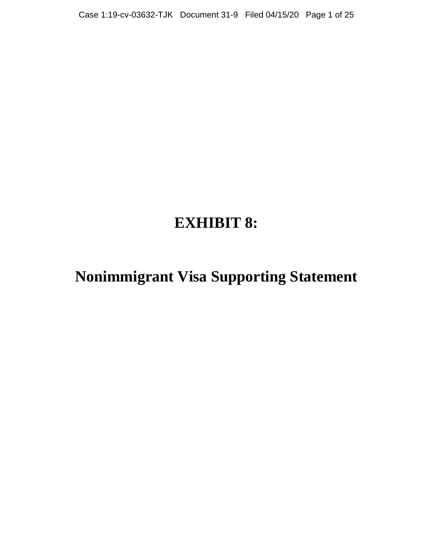# **EXHIBIT 8:**

# **Nonimmigrant Visa Supporting Statement**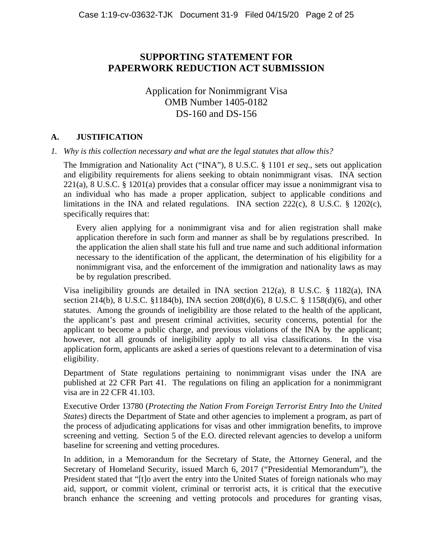# **SUPPORTING STATEMENT FOR PAPERWORK REDUCTION ACT SUBMISSION**

# Application for Nonimmigrant Visa OMB Number 1405-0182 DS-160 and DS-156

### **A. JUSTIFICATION**

#### *1. Why is this collection necessary and what are the legal statutes that allow this?*

The Immigration and Nationality Act ("INA"), 8 U.S.C. § 1101 *et seq*., sets out application and eligibility requirements for aliens seeking to obtain nonimmigrant visas. INA section  $221(a)$ , 8 U.S.C. § 1201(a) provides that a consular officer may issue a nonimmigrant visa to an individual who has made a proper application, subject to applicable conditions and limitations in the INA and related regulations. INA section 222(c), 8 U.S.C. § 1202(c), specifically requires that:

Every alien applying for a nonimmigrant visa and for alien registration shall make application therefore in such form and manner as shall be by regulations prescribed. In the application the alien shall state his full and true name and such additional information necessary to the identification of the applicant, the determination of his eligibility for a nonimmigrant visa, and the enforcement of the immigration and nationality laws as may be by regulation prescribed.

Visa ineligibility grounds are detailed in INA section 212(a), 8 U.S.C. § 1182(a), INA section 214(b), 8 U.S.C. §1184(b), INA section 208(d)(6), 8 U.S.C. § 1158(d)(6), and other statutes. Among the grounds of ineligibility are those related to the health of the applicant, the applicant's past and present criminal activities, security concerns, potential for the applicant to become a public charge, and previous violations of the INA by the applicant; however, not all grounds of ineligibility apply to all visa classifications. In the visa application form, applicants are asked a series of questions relevant to a determination of visa eligibility.

Department of State regulations pertaining to nonimmigrant visas under the INA are published at 22 CFR Part 41. The regulations on filing an application for a nonimmigrant visa are in 22 CFR 41.103.

Executive Order 13780 (*Protecting the Nation From Foreign Terrorist Entry Into the United States*) directs the Department of State and other agencies to implement a program, as part of the process of adjudicating applications for visas and other immigration benefits, to improve screening and vetting. Section 5 of the E.O. directed relevant agencies to develop a uniform baseline for screening and vetting procedures.

In addition, in a Memorandum for the Secretary of State, the Attorney General, and the Secretary of Homeland Security, issued March 6, 2017 ("Presidential Memorandum"), the President stated that "[t]o avert the entry into the United States of foreign nationals who may aid, support, or commit violent, criminal or terrorist acts, it is critical that the executive branch enhance the screening and vetting protocols and procedures for granting visas,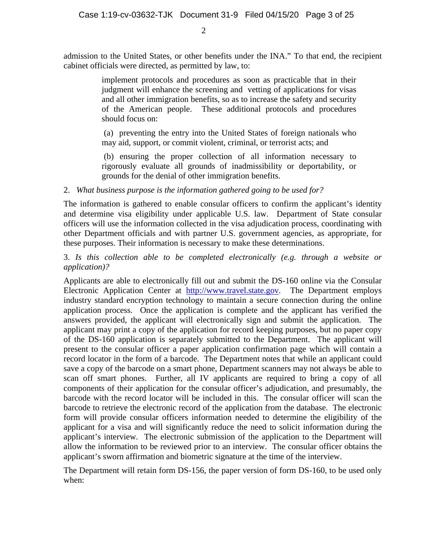admission to the United States, or other benefits under the INA." To that end, the recipient cabinet officials were directed, as permitted by law, to:

> implement protocols and procedures as soon as practicable that in their judgment will enhance the screening and vetting of applications for visas and all other immigration benefits, so as to increase the safety and security of the American people. These additional protocols and procedures should focus on:

> (a) preventing the entry into the United States of foreign nationals who may aid, support, or commit violent, criminal, or terrorist acts; and

> (b) ensuring the proper collection of all information necessary to rigorously evaluate all grounds of inadmissibility or deportability, or grounds for the denial of other immigration benefits.

### 2. *What business purpose is the information gathered going to be used for?*

The information is gathered to enable consular officers to confirm the applicant's identity and determine visa eligibility under applicable U.S. law. Department of State consular officers will use the information collected in the visa adjudication process, coordinating with other Department officials and with partner U.S. government agencies, as appropriate, for these purposes. Their information is necessary to make these determinations.

3. *Is this collection able to be completed electronically (e.g. through a website or application)?*

Applicants are able to electronically fill out and submit the DS-160 online via the Consular Electronic Application Center at http://www.travel.state.gov. The Department employs industry standard encryption technology to maintain a secure connection during the online application process. Once the application is complete and the applicant has verified the answers provided, the applicant will electronically sign and submit the application. The applicant may print a copy of the application for record keeping purposes, but no paper copy of the DS-160 application is separately submitted to the Department. The applicant will present to the consular officer a paper application confirmation page which will contain a record locator in the form of a barcode. The Department notes that while an applicant could save a copy of the barcode on a smart phone, Department scanners may not always be able to scan off smart phones. Further, all IV applicants are required to bring a copy of all components of their application for the consular officer's adjudication, and presumably, the barcode with the record locator will be included in this. The consular officer will scan the barcode to retrieve the electronic record of the application from the database. The electronic form will provide consular officers information needed to determine the eligibility of the applicant for a visa and will significantly reduce the need to solicit information during the applicant's interview. The electronic submission of the application to the Department will allow the information to be reviewed prior to an interview. The consular officer obtains the applicant's sworn affirmation and biometric signature at the time of the interview.

The Department will retain form DS-156, the paper version of form DS-160, to be used only when: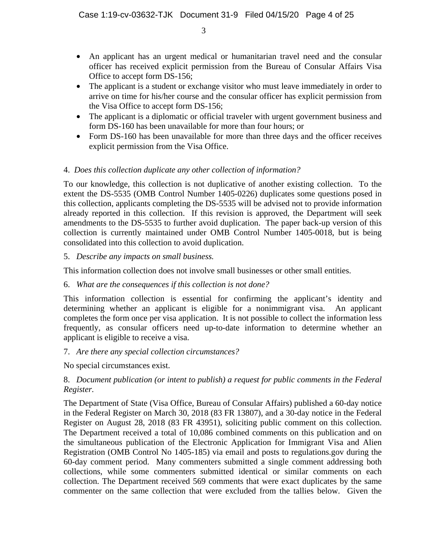- An applicant has an urgent medical or humanitarian travel need and the consular officer has received explicit permission from the Bureau of Consular Affairs Visa Office to accept form DS-156;
- The applicant is a student or exchange visitor who must leave immediately in order to arrive on time for his/her course and the consular officer has explicit permission from the Visa Office to accept form DS-156;
- The applicant is a diplomatic or official traveler with urgent government business and form DS-160 has been unavailable for more than four hours; or
- Form DS-160 has been unavailable for more than three days and the officer receives explicit permission from the Visa Office.

## 4. *Does this collection duplicate any other collection of information?*

To our knowledge, this collection is not duplicative of another existing collection. To the extent the DS-5535 (OMB Control Number 1405-0226) duplicates some questions posed in this collection, applicants completing the DS-5535 will be advised not to provide information already reported in this collection. If this revision is approved, the Department will seek amendments to the DS-5535 to further avoid duplication. The paper back-up version of this collection is currently maintained under OMB Control Number 1405-0018, but is being consolidated into this collection to avoid duplication.

## 5. *Describe any impacts on small business.*

This information collection does not involve small businesses or other small entities.

## 6. *What are the consequences if this collection is not done?*

This information collection is essential for confirming the applicant's identity and determining whether an applicant is eligible for a nonimmigrant visa. An applicant completes the form once per visa application. It is not possible to collect the information less frequently, as consular officers need up-to-date information to determine whether an applicant is eligible to receive a visa.

## 7. *Are there any special collection circumstances?*

No special circumstances exist.

## 8. *Document publication (or intent to publish) a request for public comments in the Federal Register.*

The Department of State (Visa Office, Bureau of Consular Affairs) published a 60-day notice in the Federal Register on March 30, 2018 (83 FR 13807), and a 30-day notice in the Federal Register on August 28, 2018 (83 FR 43951), soliciting public comment on this collection. The Department received a total of 10,086 combined comments on this publication and on the simultaneous publication of the Electronic Application for Immigrant Visa and Alien Registration (OMB Control No 1405-185) via email and posts to regulations.gov during the 60-day comment period. Many commenters submitted a single comment addressing both collections, while some commenters submitted identical or similar comments on each collection. The Department received 569 comments that were exact duplicates by the same commenter on the same collection that were excluded from the tallies below. Given the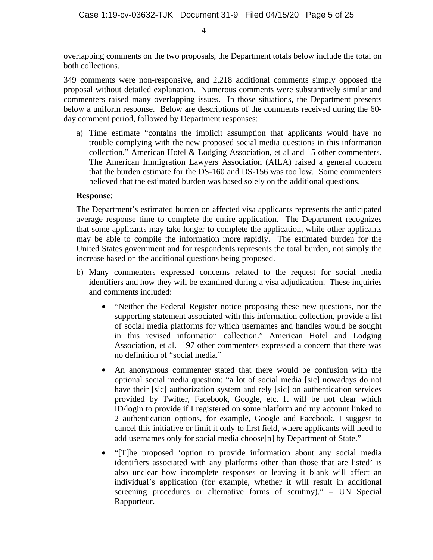overlapping comments on the two proposals, the Department totals below include the total on both collections.

349 comments were non-responsive, and 2,218 additional comments simply opposed the proposal without detailed explanation. Numerous comments were substantively similar and commenters raised many overlapping issues. In those situations, the Department presents below a uniform response. Below are descriptions of the comments received during the 60 day comment period, followed by Department responses:

a) Time estimate "contains the implicit assumption that applicants would have no trouble complying with the new proposed social media questions in this information collection." American Hotel & Lodging Association, et al and 15 other commenters. The American Immigration Lawyers Association (AILA) raised a general concern that the burden estimate for the DS-160 and DS-156 was too low. Some commenters believed that the estimated burden was based solely on the additional questions.

### **Response**:

The Department's estimated burden on affected visa applicants represents the anticipated average response time to complete the entire application. The Department recognizes that some applicants may take longer to complete the application, while other applicants may be able to compile the information more rapidly. The estimated burden for the United States government and for respondents represents the total burden, not simply the increase based on the additional questions being proposed.

- b) Many commenters expressed concerns related to the request for social media identifiers and how they will be examined during a visa adjudication. These inquiries and comments included:
	- "Neither the Federal Register notice proposing these new questions, nor the supporting statement associated with this information collection, provide a list of social media platforms for which usernames and handles would be sought in this revised information collection." American Hotel and Lodging Association, et al. 197 other commenters expressed a concern that there was no definition of "social media."
	- An anonymous commenter stated that there would be confusion with the optional social media question: "a lot of social media [sic] nowadays do not have their [sic] authorization system and rely [sic] on authentication services provided by Twitter, Facebook, Google, etc. It will be not clear which ID/login to provide if I registered on some platform and my account linked to 2 authentication options, for example, Google and Facebook. I suggest to cancel this initiative or limit it only to first field, where applicants will need to add usernames only for social media choose[n] by Department of State."
	- "[T]he proposed 'option to provide information about any social media identifiers associated with any platforms other than those that are listed' is also unclear how incomplete responses or leaving it blank will affect an individual's application (for example, whether it will result in additional screening procedures or alternative forms of scrutiny)." – UN Special Rapporteur.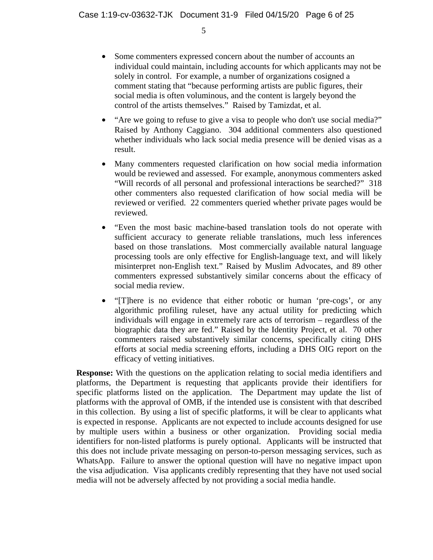$\overline{5}$ 

- Some commenters expressed concern about the number of accounts an individual could maintain, including accounts for which applicants may not be solely in control. For example, a number of organizations cosigned a comment stating that "because performing artists are public figures, their social media is often voluminous, and the content is largely beyond the control of the artists themselves." Raised by Tamizdat, et al.
- "Are we going to refuse to give a visa to people who don't use social media?" Raised by Anthony Caggiano. 304 additional commenters also questioned whether individuals who lack social media presence will be denied visas as a result.
- Many commenters requested clarification on how social media information would be reviewed and assessed. For example, anonymous commenters asked "Will records of all personal and professional interactions be searched?" 318 other commenters also requested clarification of how social media will be reviewed or verified. 22 commenters queried whether private pages would be reviewed.
- "Even the most basic machine-based translation tools do not operate with sufficient accuracy to generate reliable translations, much less inferences based on those translations. Most commercially available natural language processing tools are only effective for English-language text, and will likely misinterpret non-English text." Raised by Muslim Advocates, and 89 other commenters expressed substantively similar concerns about the efficacy of social media review.
- "[T]here is no evidence that either robotic or human 'pre-cogs', or any algorithmic profiling ruleset, have any actual utility for predicting which individuals will engage in extremely rare acts of terrorism – regardless of the biographic data they are fed." Raised by the Identity Project, et al. 70 other commenters raised substantively similar concerns, specifically citing DHS efforts at social media screening efforts, including a DHS OIG report on the efficacy of vetting initiatives.

**Response:** With the questions on the application relating to social media identifiers and platforms, the Department is requesting that applicants provide their identifiers for specific platforms listed on the application. The Department may update the list of platforms with the approval of OMB, if the intended use is consistent with that described in this collection. By using a list of specific platforms, it will be clear to applicants what is expected in response. Applicants are not expected to include accounts designed for use by multiple users within a business or other organization. Providing social media identifiers for non-listed platforms is purely optional. Applicants will be instructed that this does not include private messaging on person-to-person messaging services, such as WhatsApp. Failure to answer the optional question will have no negative impact upon the visa adjudication. Visa applicants credibly representing that they have not used social media will not be adversely affected by not providing a social media handle.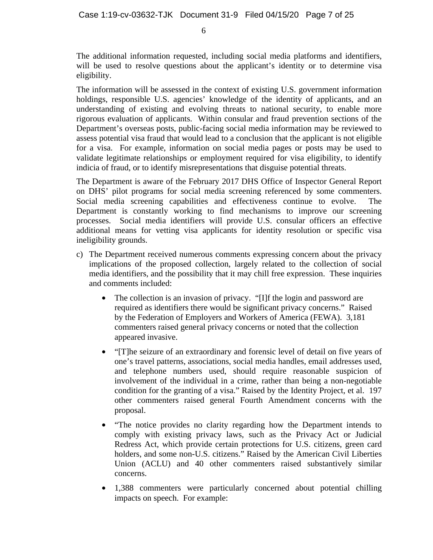The additional information requested, including social media platforms and identifiers, will be used to resolve questions about the applicant's identity or to determine visa eligibility.

The information will be assessed in the context of existing U.S. government information holdings, responsible U.S. agencies' knowledge of the identity of applicants, and an understanding of existing and evolving threats to national security, to enable more rigorous evaluation of applicants. Within consular and fraud prevention sections of the Department's overseas posts, public-facing social media information may be reviewed to assess potential visa fraud that would lead to a conclusion that the applicant is not eligible for a visa. For example, information on social media pages or posts may be used to validate legitimate relationships or employment required for visa eligibility, to identify indicia of fraud, or to identify misrepresentations that disguise potential threats.

The Department is aware of the February 2017 DHS Office of Inspector General Report on DHS' pilot programs for social media screening referenced by some commenters. Social media screening capabilities and effectiveness continue to evolve. The Department is constantly working to find mechanisms to improve our screening processes. Social media identifiers will provide U.S. consular officers an effective additional means for vetting visa applicants for identity resolution or specific visa ineligibility grounds.

- c) The Department received numerous comments expressing concern about the privacy implications of the proposed collection, largely related to the collection of social media identifiers, and the possibility that it may chill free expression. These inquiries and comments included:
	- The collection is an invasion of privacy. "[I]f the login and password are required as identifiers there would be significant privacy concerns." Raised by the Federation of Employers and Workers of America (FEWA). 3,181 commenters raised general privacy concerns or noted that the collection appeared invasive.
	- "[T]he seizure of an extraordinary and forensic level of detail on five years of one's travel patterns, associations, social media handles, email addresses used, and telephone numbers used, should require reasonable suspicion of involvement of the individual in a crime, rather than being a non-negotiable condition for the granting of a visa." Raised by the Identity Project, et al. 197 other commenters raised general Fourth Amendment concerns with the proposal.
	- "The notice provides no clarity regarding how the Department intends to comply with existing privacy laws, such as the Privacy Act or Judicial Redress Act, which provide certain protections for U.S. citizens, green card holders, and some non-U.S. citizens." Raised by the American Civil Liberties Union (ACLU) and 40 other commenters raised substantively similar concerns.
	- 1,388 commenters were particularly concerned about potential chilling impacts on speech. For example: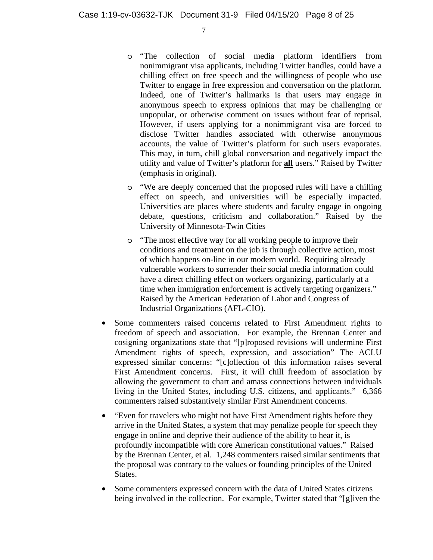- o "The collection of social media platform identifiers from nonimmigrant visa applicants, including Twitter handles, could have a chilling effect on free speech and the willingness of people who use Twitter to engage in free expression and conversation on the platform. Indeed, one of Twitter's hallmarks is that users may engage in anonymous speech to express opinions that may be challenging or unpopular, or otherwise comment on issues without fear of reprisal. However, if users applying for a nonimmigrant visa are forced to disclose Twitter handles associated with otherwise anonymous accounts, the value of Twitter's platform for such users evaporates. This may, in turn, chill global conversation and negatively impact the utility and value of Twitter's platform for **all** users." Raised by Twitter (emphasis in original).
- o "We are deeply concerned that the proposed rules will have a chilling effect on speech, and universities will be especially impacted. Universities are places where students and faculty engage in ongoing debate, questions, criticism and collaboration." Raised by the University of Minnesota-Twin Cities
- o "The most effective way for all working people to improve their conditions and treatment on the job is through collective action, most of which happens on-line in our modern world. Requiring already vulnerable workers to surrender their social media information could have a direct chilling effect on workers organizing, particularly at a time when immigration enforcement is actively targeting organizers." Raised by the American Federation of Labor and Congress of Industrial Organizations (AFL-CIO).
- Some commenters raised concerns related to First Amendment rights to freedom of speech and association. For example, the Brennan Center and cosigning organizations state that "[p]roposed revisions will undermine First Amendment rights of speech, expression, and association" The ACLU expressed similar concerns: "[c]ollection of this information raises several First Amendment concerns. First, it will chill freedom of association by allowing the government to chart and amass connections between individuals living in the United States, including U.S. citizens, and applicants." 6,366 commenters raised substantively similar First Amendment concerns.
- "Even for travelers who might not have First Amendment rights before they arrive in the United States, a system that may penalize people for speech they engage in online and deprive their audience of the ability to hear it, is profoundly incompatible with core American constitutional values." Raised by the Brennan Center, et al. 1,248 commenters raised similar sentiments that the proposal was contrary to the values or founding principles of the United States.
- Some commenters expressed concern with the data of United States citizens being involved in the collection. For example, Twitter stated that "[g]iven the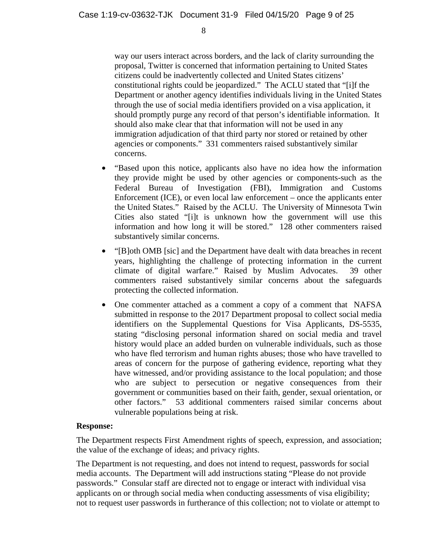way our users interact across borders, and the lack of clarity surrounding the proposal, Twitter is concerned that information pertaining to United States citizens could be inadvertently collected and United States citizens' constitutional rights could be jeopardized." The ACLU stated that "[i]f the Department or another agency identifies individuals living in the United States through the use of social media identifiers provided on a visa application, it should promptly purge any record of that person's identifiable information. It should also make clear that that information will not be used in any immigration adjudication of that third party nor stored or retained by other agencies or components." 331 commenters raised substantively similar concerns.

- "Based upon this notice, applicants also have no idea how the information they provide might be used by other agencies or components-such as the Federal Bureau of Investigation (FBI), Immigration and Customs Enforcement (ICE), or even local law enforcement – once the applicants enter the United States." Raised by the ACLU. The University of Minnesota Twin Cities also stated "[i]t is unknown how the government will use this information and how long it will be stored." 128 other commenters raised substantively similar concerns.
- "[B]oth OMB [sic] and the Department have dealt with data breaches in recent years, highlighting the challenge of protecting information in the current climate of digital warfare." Raised by Muslim Advocates. 39 other commenters raised substantively similar concerns about the safeguards protecting the collected information.
- One commenter attached as a comment a copy of a comment that NAFSA submitted in response to the 2017 Department proposal to collect social media identifiers on the Supplemental Questions for Visa Applicants, DS-5535, stating "disclosing personal information shared on social media and travel history would place an added burden on vulnerable individuals, such as those who have fled terrorism and human rights abuses; those who have travelled to areas of concern for the purpose of gathering evidence, reporting what they have witnessed, and/or providing assistance to the local population; and those who are subject to persecution or negative consequences from their government or communities based on their faith, gender, sexual orientation, or other factors." 53 additional commenters raised similar concerns about vulnerable populations being at risk.

#### **Response:**

The Department respects First Amendment rights of speech, expression, and association; the value of the exchange of ideas; and privacy rights.

The Department is not requesting, and does not intend to request, passwords for social media accounts. The Department will add instructions stating "Please do not provide passwords." Consular staff are directed not to engage or interact with individual visa applicants on or through social media when conducting assessments of visa eligibility; not to request user passwords in furtherance of this collection; not to violate or attempt to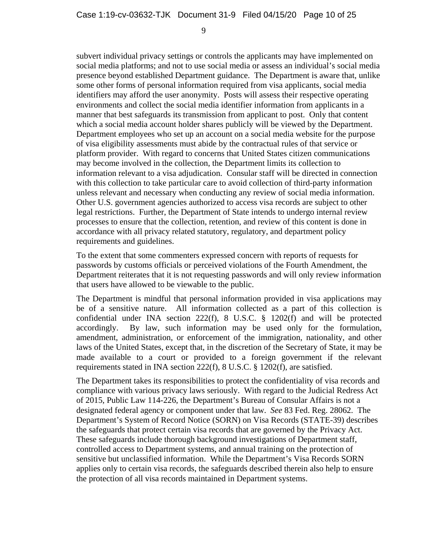subvert individual privacy settings or controls the applicants may have implemented on social media platforms; and not to use social media or assess an individual's social media presence beyond established Department guidance. The Department is aware that, unlike some other forms of personal information required from visa applicants, social media identifiers may afford the user anonymity. Posts will assess their respective operating environments and collect the social media identifier information from applicants in a manner that best safeguards its transmission from applicant to post. Only that content which a social media account holder shares publicly will be viewed by the Department. Department employees who set up an account on a social media website for the purpose of visa eligibility assessments must abide by the contractual rules of that service or platform provider. With regard to concerns that United States citizen communications may become involved in the collection, the Department limits its collection to information relevant to a visa adjudication. Consular staff will be directed in connection with this collection to take particular care to avoid collection of third-party information unless relevant and necessary when conducting any review of social media information. Other U.S. government agencies authorized to access visa records are subject to other legal restrictions. Further, the Department of State intends to undergo internal review processes to ensure that the collection, retention, and review of this content is done in accordance with all privacy related statutory, regulatory, and department policy requirements and guidelines.

To the extent that some commenters expressed concern with reports of requests for passwords by customs officials or perceived violations of the Fourth Amendment, the Department reiterates that it is not requesting passwords and will only review information that users have allowed to be viewable to the public.

The Department is mindful that personal information provided in visa applications may be of a sensitive nature. All information collected as a part of this collection is confidential under INA section 222(f), 8 U.S.C. § 1202(f) and will be protected accordingly. By law, such information may be used only for the formulation, amendment, administration, or enforcement of the immigration, nationality, and other laws of the United States, except that, in the discretion of the Secretary of State, it may be made available to a court or provided to a foreign government if the relevant requirements stated in INA section 222(f), 8 U.S.C. § 1202(f), are satisfied.

The Department takes its responsibilities to protect the confidentiality of visa records and compliance with various privacy laws seriously. With regard to the Judicial Redress Act of 2015, Public Law 114-226, the Department's Bureau of Consular Affairs is not a designated federal agency or component under that law. *See* 83 Fed. Reg. 28062. The Department's System of Record Notice (SORN) on Visa Records (STATE-39) describes the safeguards that protect certain visa records that are governed by the Privacy Act. These safeguards include thorough background investigations of Department staff, controlled access to Department systems, and annual training on the protection of sensitive but unclassified information. While the Department's Visa Records SORN applies only to certain visa records, the safeguards described therein also help to ensure the protection of all visa records maintained in Department systems.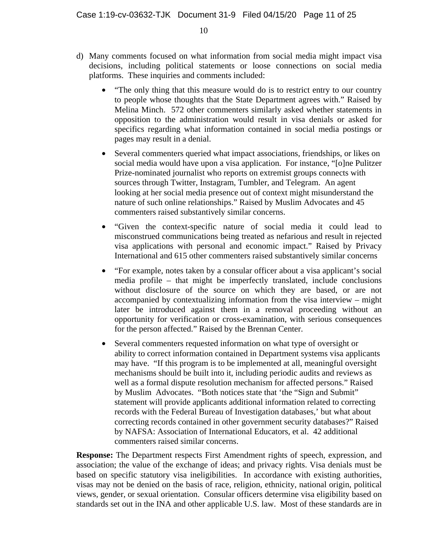- "The only thing that this measure would do is to restrict entry to our country to people whose thoughts that the State Department agrees with." Raised by Melina Minch. 572 other commenters similarly asked whether statements in opposition to the administration would result in visa denials or asked for specifics regarding what information contained in social media postings or pages may result in a denial.
- Several commenters queried what impact associations, friendships, or likes on social media would have upon a visa application. For instance, "[o]ne Pulitzer Prize-nominated journalist who reports on extremist groups connects with sources through Twitter, Instagram, Tumbler, and Telegram. An agent looking at her social media presence out of context might misunderstand the nature of such online relationships." Raised by Muslim Advocates and 45 commenters raised substantively similar concerns.
- "Given the context-specific nature of social media it could lead to misconstrued communications being treated as nefarious and result in rejected visa applications with personal and economic impact." Raised by Privacy International and 615 other commenters raised substantively similar concerns
- "For example, notes taken by a consular officer about a visa applicant's social media profile – that might be imperfectly translated, include conclusions without disclosure of the source on which they are based, or are not accompanied by contextualizing information from the visa interview – might later be introduced against them in a removal proceeding without an opportunity for verification or cross-examination, with serious consequences for the person affected." Raised by the Brennan Center.
- Several commenters requested information on what type of oversight or ability to correct information contained in Department systems visa applicants may have. "If this program is to be implemented at all, meaningful oversight mechanisms should be built into it, including periodic audits and reviews as well as a formal dispute resolution mechanism for affected persons." Raised by Muslim Advocates. "Both notices state that 'the "Sign and Submit" statement will provide applicants additional information related to correcting records with the Federal Bureau of Investigation databases,' but what about correcting records contained in other government security databases?" Raised by NAFSA: Association of International Educators, et al. 42 additional commenters raised similar concerns.

**Response:** The Department respects First Amendment rights of speech, expression, and association; the value of the exchange of ideas; and privacy rights. Visa denials must be based on specific statutory visa ineligibilities. In accordance with existing authorities, visas may not be denied on the basis of race, religion, ethnicity, national origin, political views, gender, or sexual orientation. Consular officers determine visa eligibility based on standards set out in the INA and other applicable U.S. law. Most of these standards are in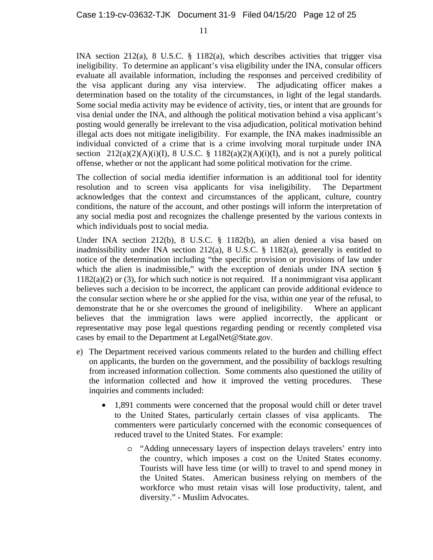INA section 212(a), 8 U.S.C. § 1182(a), which describes activities that trigger visa ineligibility. To determine an applicant's visa eligibility under the INA, consular officers evaluate all available information, including the responses and perceived credibility of the visa applicant during any visa interview. The adjudicating officer makes a determination based on the totality of the circumstances, in light of the legal standards. Some social media activity may be evidence of activity, ties, or intent that are grounds for visa denial under the INA, and although the political motivation behind a visa applicant's posting would generally be irrelevant to the visa adjudication, political motivation behind illegal acts does not mitigate ineligibility. For example, the INA makes inadmissible an individual convicted of a crime that is a crime involving moral turpitude under INA section  $212(a)(2)(A)(i)(I)$ , 8 U.S.C. § 1182(a)(2)(A)(i)(I), and is not a purely political offense, whether or not the applicant had some political motivation for the crime.

The collection of social media identifier information is an additional tool for identity resolution and to screen visa applicants for visa ineligibility. The Department acknowledges that the context and circumstances of the applicant, culture, country conditions, the nature of the account, and other postings will inform the interpretation of any social media post and recognizes the challenge presented by the various contexts in which individuals post to social media.

Under INA section 212(b), 8 U.S.C. § 1182(b), an alien denied a visa based on inadmissibility under INA section 212(a), 8 U.S.C. § 1182(a), generally is entitled to notice of the determination including "the specific provision or provisions of law under which the alien is inadmissible," with the exception of denials under INA section §  $1182(a)(2)$  or (3), for which such notice is not required. If a nonimmigrant visa applicant believes such a decision to be incorrect, the applicant can provide additional evidence to the consular section where he or she applied for the visa, within one year of the refusal, to demonstrate that he or she overcomes the ground of ineligibility. Where an applicant believes that the immigration laws were applied incorrectly, the applicant or representative may pose legal questions regarding pending or recently completed visa cases by email to the Department at LegalNet@State.gov.

- e) The Department received various comments related to the burden and chilling effect on applicants, the burden on the government, and the possibility of backlogs resulting from increased information collection. Some comments also questioned the utility of the information collected and how it improved the vetting procedures. These inquiries and comments included:
	- 1,891 comments were concerned that the proposal would chill or deter travel to the United States, particularly certain classes of visa applicants. The commenters were particularly concerned with the economic consequences of reduced travel to the United States. For example:
		- o "Adding unnecessary layers of inspection delays travelers' entry into the country, which imposes a cost on the United States economy. Tourists will have less time (or will) to travel to and spend money in the United States. American business relying on members of the workforce who must retain visas will lose productivity, talent, and diversity." - Muslim Advocates.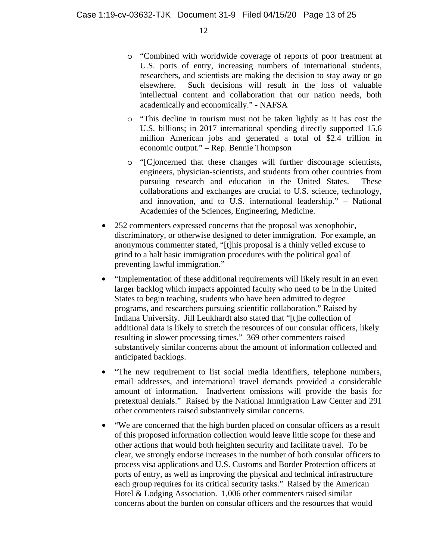- o "Combined with worldwide coverage of reports of poor treatment at U.S. ports of entry, increasing numbers of international students, researchers, and scientists are making the decision to stay away or go elsewhere. Such decisions will result in the loss of valuable intellectual content and collaboration that our nation needs, both academically and economically." - NAFSA
- o "This decline in tourism must not be taken lightly as it has cost the U.S. billions; in 2017 international spending directly supported 15.6 million American jobs and generated a total of \$2.4 trillion in economic output." – Rep. Bennie Thompson
- o "[C]oncerned that these changes will further discourage scientists, engineers, physician-scientists, and students from other countries from pursuing research and education in the United States. These collaborations and exchanges are crucial to U.S. science, technology, and innovation, and to U.S. international leadership." – National Academies of the Sciences, Engineering, Medicine.
- 252 commenters expressed concerns that the proposal was xenophobic, discriminatory, or otherwise designed to deter immigration. For example, an anonymous commenter stated, "[t]his proposal is a thinly veiled excuse to grind to a halt basic immigration procedures with the political goal of preventing lawful immigration."
- "Implementation of these additional requirements will likely result in an even larger backlog which impacts appointed faculty who need to be in the United States to begin teaching, students who have been admitted to degree programs, and researchers pursuing scientific collaboration." Raised by Indiana University. Jill Leukhardt also stated that "[t]he collection of additional data is likely to stretch the resources of our consular officers, likely resulting in slower processing times." 369 other commenters raised substantively similar concerns about the amount of information collected and anticipated backlogs.
- "The new requirement to list social media identifiers, telephone numbers, email addresses, and international travel demands provided a considerable amount of information. Inadvertent omissions will provide the basis for pretextual denials." Raised by the National Immigration Law Center and 291 other commenters raised substantively similar concerns.
- "We are concerned that the high burden placed on consular officers as a result of this proposed information collection would leave little scope for these and other actions that would both heighten security and facilitate travel. To be clear, we strongly endorse increases in the number of both consular officers to process visa applications and U.S. Customs and Border Protection officers at ports of entry, as well as improving the physical and technical infrastructure each group requires for its critical security tasks." Raised by the American Hotel & Lodging Association. 1,006 other commenters raised similar concerns about the burden on consular officers and the resources that would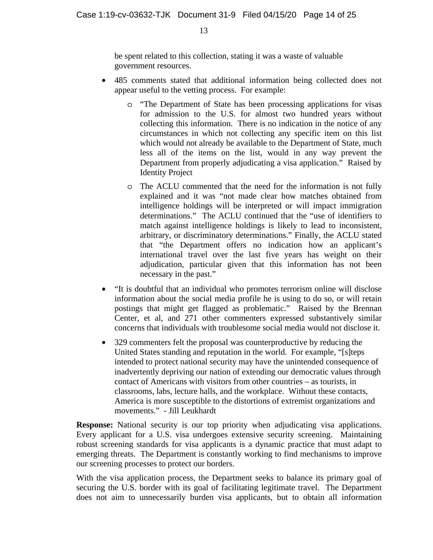be spent related to this collection, stating it was a waste of valuable government resources.

- 485 comments stated that additional information being collected does not appear useful to the vetting process. For example:
	- o "The Department of State has been processing applications for visas for admission to the U.S. for almost two hundred years without collecting this information. There is no indication in the notice of any circumstances in which not collecting any specific item on this list which would not already be available to the Department of State, much less all of the items on the list, would in any way prevent the Department from properly adjudicating a visa application." Raised by Identity Project
	- o The ACLU commented that the need for the information is not fully explained and it was "not made clear how matches obtained from intelligence holdings will be interpreted or will impact immigration determinations." The ACLU continued that the "use of identifiers to match against intelligence holdings is likely to lead to inconsistent, arbitrary, or discriminatory determinations." Finally, the ACLU stated that "the Department offers no indication how an applicant's international travel over the last five years has weight on their adjudication, particular given that this information has not been necessary in the past."
- "It is doubtful that an individual who promotes terrorism online will disclose information about the social media profile he is using to do so, or will retain postings that might get flagged as problematic." Raised by the Brennan Center, et al, and 271 other commenters expressed substantively similar concerns that individuals with troublesome social media would not disclose it.
- 329 commenters felt the proposal was counterproductive by reducing the United States standing and reputation in the world. For example, "[s]teps intended to protect national security may have the unintended consequence of inadvertently depriving our nation of extending our democratic values through contact of Americans with visitors from other countries – as tourists, in classrooms, labs, lecture halls, and the workplace. Without these contacts, America is more susceptible to the distortions of extremist organizations and movements." - Jill Leukhardt

**Response:** National security is our top priority when adjudicating visa applications. Every applicant for a U.S. visa undergoes extensive security screening. Maintaining robust screening standards for visa applicants is a dynamic practice that must adapt to emerging threats. The Department is constantly working to find mechanisms to improve our screening processes to protect our borders.

With the visa application process, the Department seeks to balance its primary goal of securing the U.S. border with its goal of facilitating legitimate travel. The Department does not aim to unnecessarily burden visa applicants, but to obtain all information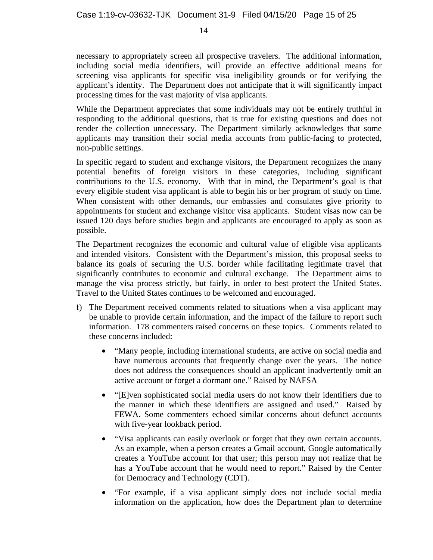necessary to appropriately screen all prospective travelers. The additional information, including social media identifiers, will provide an effective additional means for screening visa applicants for specific visa ineligibility grounds or for verifying the applicant's identity. The Department does not anticipate that it will significantly impact processing times for the vast majority of visa applicants.

While the Department appreciates that some individuals may not be entirely truthful in responding to the additional questions, that is true for existing questions and does not render the collection unnecessary. The Department similarly acknowledges that some applicants may transition their social media accounts from public-facing to protected, non-public settings.

In specific regard to student and exchange visitors, the Department recognizes the many potential benefits of foreign visitors in these categories, including significant contributions to the U.S. economy. With that in mind, the Department's goal is that every eligible student visa applicant is able to begin his or her program of study on time. When consistent with other demands, our embassies and consulates give priority to appointments for student and exchange visitor visa applicants. Student visas now can be issued 120 days before studies begin and applicants are encouraged to apply as soon as possible.

The Department recognizes the economic and cultural value of eligible visa applicants and intended visitors. Consistent with the Department's mission, this proposal seeks to balance its goals of securing the U.S. border while facilitating legitimate travel that significantly contributes to economic and cultural exchange. The Department aims to manage the visa process strictly, but fairly, in order to best protect the United States. Travel to the United States continues to be welcomed and encouraged.

- f) The Department received comments related to situations when a visa applicant may be unable to provide certain information, and the impact of the failure to report such information. 178 commenters raised concerns on these topics. Comments related to these concerns included:
	- "Many people, including international students, are active on social media and have numerous accounts that frequently change over the years. The notice does not address the consequences should an applicant inadvertently omit an active account or forget a dormant one." Raised by NAFSA
	- "[E]ven sophisticated social media users do not know their identifiers due to the manner in which these identifiers are assigned and used." Raised by FEWA. Some commenters echoed similar concerns about defunct accounts with five-year lookback period.
	- "Visa applicants can easily overlook or forget that they own certain accounts. As an example, when a person creates a Gmail account, Google automatically creates a YouTube account for that user; this person may not realize that he has a YouTube account that he would need to report." Raised by the Center for Democracy and Technology (CDT).
	- "For example, if a visa applicant simply does not include social media information on the application, how does the Department plan to determine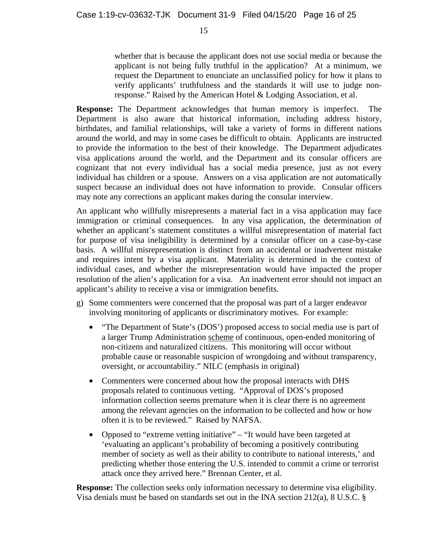whether that is because the applicant does not use social media or because the applicant is not being fully truthful in the application? At a minimum, we request the Department to enunciate an unclassified policy for how it plans to verify applicants' truthfulness and the standards it will use to judge nonresponse." Raised by the American Hotel & Lodging Association, et al.

**Response:** The Department acknowledges that human memory is imperfect. The Department is also aware that historical information, including address history, birthdates, and familial relationships, will take a variety of forms in different nations around the world, and may in some cases be difficult to obtain. Applicants are instructed to provide the information to the best of their knowledge. The Department adjudicates visa applications around the world, and the Department and its consular officers are cognizant that not every individual has a social media presence, just as not every individual has children or a spouse. Answers on a visa application are not automatically suspect because an individual does not have information to provide. Consular officers may note any corrections an applicant makes during the consular interview.

An applicant who willfully misrepresents a material fact in a visa application may face immigration or criminal consequences. In any visa application, the determination of whether an applicant's statement constitutes a willful misrepresentation of material fact for purpose of visa ineligibility is determined by a consular officer on a case-by-case basis. A willful misrepresentation is distinct from an accidental or inadvertent mistake and requires intent by a visa applicant. Materiality is determined in the context of individual cases, and whether the misrepresentation would have impacted the proper resolution of the alien's application for a visa. An inadvertent error should not impact an applicant's ability to receive a visa or immigration benefits.

- g) Some commenters were concerned that the proposal was part of a larger endeavor involving monitoring of applicants or discriminatory motives. For example:
	- "The Department of State's (DOS') proposed access to social media use is part of a larger Trump Administration scheme of continuous, open-ended monitoring of non-citizens and naturalized citizens. This monitoring will occur without probable cause or reasonable suspicion of wrongdoing and without transparency, oversight, or accountability." NILC (emphasis in original)
	- Commenters were concerned about how the proposal interacts with DHS proposals related to continuous vetting. "Approval of DOS's proposed information collection seems premature when it is clear there is no agreement among the relevant agencies on the information to be collected and how or how often it is to be reviewed." Raised by NAFSA.
	- Opposed to "extreme vetting initiative" "It would have been targeted at 'evaluating an applicant's probability of becoming a positively contributing member of society as well as their ability to contribute to national interests,' and predicting whether those entering the U.S. intended to commit a crime or terrorist attack once they arrived here." Brennan Center, et al.

**Response:** The collection seeks only information necessary to determine visa eligibility. Visa denials must be based on standards set out in the INA section 212(a), 8 U.S.C. §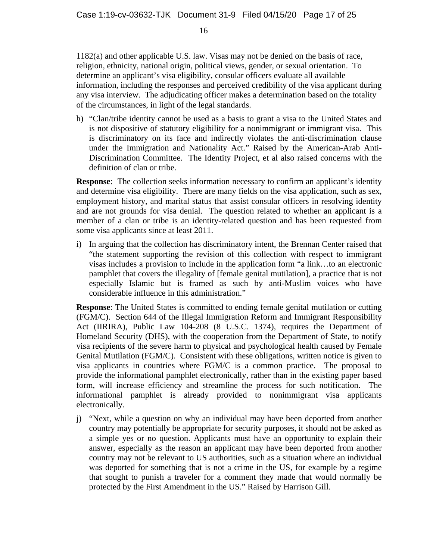1182(a) and other applicable U.S. law. Visas may not be denied on the basis of race, religion, ethnicity, national origin, political views, gender, or sexual orientation. To determine an applicant's visa eligibility, consular officers evaluate all available information, including the responses and perceived credibility of the visa applicant during any visa interview. The adjudicating officer makes a determination based on the totality of the circumstances, in light of the legal standards.

h) "Clan/tribe identity cannot be used as a basis to grant a visa to the United States and is not dispositive of statutory eligibility for a nonimmigrant or immigrant visa. This is discriminatory on its face and indirectly violates the anti-discrimination clause under the Immigration and Nationality Act." Raised by the American-Arab Anti-Discrimination Committee. The Identity Project, et al also raised concerns with the definition of clan or tribe.

**Response**: The collection seeks information necessary to confirm an applicant's identity and determine visa eligibility. There are many fields on the visa application, such as sex, employment history, and marital status that assist consular officers in resolving identity and are not grounds for visa denial. The question related to whether an applicant is a member of a clan or tribe is an identity-related question and has been requested from some visa applicants since at least 2011.

i) In arguing that the collection has discriminatory intent, the Brennan Center raised that "the statement supporting the revision of this collection with respect to immigrant visas includes a provision to include in the application form "a link…to an electronic pamphlet that covers the illegality of [female genital mutilation], a practice that is not especially Islamic but is framed as such by anti-Muslim voices who have considerable influence in this administration."

**Response**: The United States is committed to ending female genital mutilation or cutting (FGM/C). Section 644 of the Illegal Immigration Reform and Immigrant Responsibility Act (IIRIRA), Public Law 104-208 (8 U.S.C. 1374), requires the Department of Homeland Security (DHS), with the cooperation from the Department of State, to notify visa recipients of the severe harm to physical and psychological health caused by Female Genital Mutilation (FGM/C). Consistent with these obligations, written notice is given to visa applicants in countries where FGM/C is a common practice. The proposal to provide the informational pamphlet electronically, rather than in the existing paper based form, will increase efficiency and streamline the process for such notification. The informational pamphlet is already provided to nonimmigrant visa applicants electronically.

j) "Next, while a question on why an individual may have been deported from another country may potentially be appropriate for security purposes, it should not be asked as a simple yes or no question. Applicants must have an opportunity to explain their answer, especially as the reason an applicant may have been deported from another country may not be relevant to US authorities, such as a situation where an individual was deported for something that is not a crime in the US, for example by a regime that sought to punish a traveler for a comment they made that would normally be protected by the First Amendment in the US." Raised by Harrison Gill.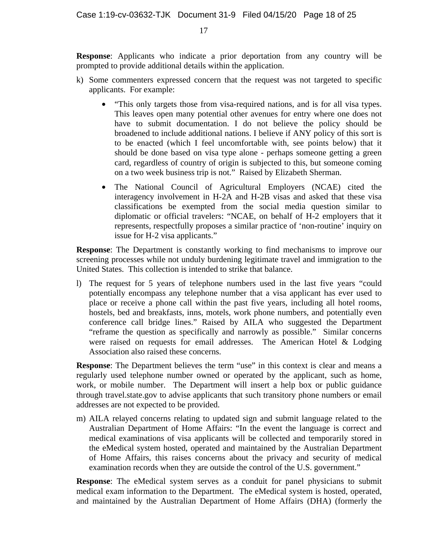**Response**: Applicants who indicate a prior deportation from any country will be prompted to provide additional details within the application.

- k) Some commenters expressed concern that the request was not targeted to specific applicants. For example:
	- "This only targets those from visa-required nations, and is for all visa types. This leaves open many potential other avenues for entry where one does not have to submit documentation. I do not believe the policy should be broadened to include additional nations. I believe if ANY policy of this sort is to be enacted (which I feel uncomfortable with, see points below) that it should be done based on visa type alone - perhaps someone getting a green card, regardless of country of origin is subjected to this, but someone coming on a two week business trip is not." Raised by Elizabeth Sherman.
	- The National Council of Agricultural Employers (NCAE) cited the interagency involvement in H-2A and H-2B visas and asked that these visa classifications be exempted from the social media question similar to diplomatic or official travelers: "NCAE, on behalf of H-2 employers that it represents, respectfully proposes a similar practice of 'non-routine' inquiry on issue for H-2 visa applicants."

**Response**: The Department is constantly working to find mechanisms to improve our screening processes while not unduly burdening legitimate travel and immigration to the United States. This collection is intended to strike that balance.

l) The request for 5 years of telephone numbers used in the last five years "could potentially encompass any telephone number that a visa applicant has ever used to place or receive a phone call within the past five years, including all hotel rooms, hostels, bed and breakfasts, inns, motels, work phone numbers, and potentially even conference call bridge lines." Raised by AILA who suggested the Department "reframe the question as specifically and narrowly as possible." Similar concerns were raised on requests for email addresses. The American Hotel & Lodging Association also raised these concerns.

**Response:** The Department believes the term "use" in this context is clear and means a regularly used telephone number owned or operated by the applicant, such as home, work, or mobile number. The Department will insert a help box or public guidance through travel.state.gov to advise applicants that such transitory phone numbers or email addresses are not expected to be provided.

m) AILA relayed concerns relating to updated sign and submit language related to the Australian Department of Home Affairs: "In the event the language is correct and medical examinations of visa applicants will be collected and temporarily stored in the eMedical system hosted, operated and maintained by the Australian Department of Home Affairs, this raises concerns about the privacy and security of medical examination records when they are outside the control of the U.S. government."

**Response**: The eMedical system serves as a conduit for panel physicians to submit medical exam information to the Department. The eMedical system is hosted, operated, and maintained by the Australian Department of Home Affairs (DHA) (formerly the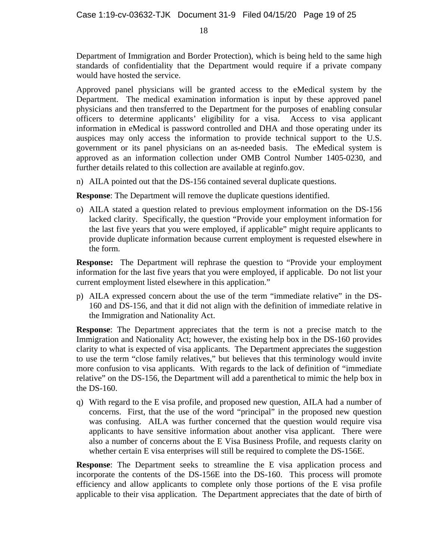Department of Immigration and Border Protection), which is being held to the same high standards of confidentiality that the Department would require if a private company would have hosted the service.

Approved panel physicians will be granted access to the eMedical system by the Department. The medical examination information is input by these approved panel physicians and then transferred to the Department for the purposes of enabling consular officers to determine applicants' eligibility for a visa. Access to visa applicant information in eMedical is password controlled and DHA and those operating under its auspices may only access the information to provide technical support to the U.S. government or its panel physicians on an as-needed basis. The eMedical system is approved as an information collection under OMB Control Number 1405-0230, and further details related to this collection are available at reginfo.gov.

n) AILA pointed out that the DS-156 contained several duplicate questions.

**Response**: The Department will remove the duplicate questions identified.

o) AILA stated a question related to previous employment information on the DS-156 lacked clarity. Specifically, the question "Provide your employment information for the last five years that you were employed, if applicable" might require applicants to provide duplicate information because current employment is requested elsewhere in the form.

**Response:** The Department will rephrase the question to "Provide your employment information for the last five years that you were employed, if applicable. Do not list your current employment listed elsewhere in this application."

p) AILA expressed concern about the use of the term "immediate relative" in the DS-160 and DS-156, and that it did not align with the definition of immediate relative in the Immigration and Nationality Act.

**Response**: The Department appreciates that the term is not a precise match to the Immigration and Nationality Act; however, the existing help box in the DS-160 provides clarity to what is expected of visa applicants. The Department appreciates the suggestion to use the term "close family relatives," but believes that this terminology would invite more confusion to visa applicants. With regards to the lack of definition of "immediate relative" on the DS-156, the Department will add a parenthetical to mimic the help box in the DS-160.

q) With regard to the E visa profile, and proposed new question, AILA had a number of concerns. First, that the use of the word "principal" in the proposed new question was confusing. AILA was further concerned that the question would require visa applicants to have sensitive information about another visa applicant. There were also a number of concerns about the E Visa Business Profile, and requests clarity on whether certain E visa enterprises will still be required to complete the DS-156E.

**Response**: The Department seeks to streamline the E visa application process and incorporate the contents of the DS-156E into the DS-160. This process will promote efficiency and allow applicants to complete only those portions of the E visa profile applicable to their visa application. The Department appreciates that the date of birth of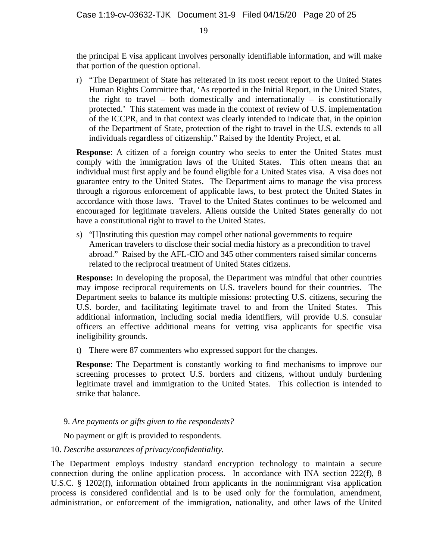the principal E visa applicant involves personally identifiable information, and will make that portion of the question optional.

r) "The Department of State has reiterated in its most recent report to the United States Human Rights Committee that, 'As reported in the Initial Report, in the United States, the right to travel – both domestically and internationally – is constitutionally protected.' This statement was made in the context of review of U.S. implementation of the ICCPR, and in that context was clearly intended to indicate that, in the opinion of the Department of State, protection of the right to travel in the U.S. extends to all individuals regardless of citizenship." Raised by the Identity Project, et al.

**Response**: A citizen of a foreign country who seeks to enter the United States must comply with the immigration laws of the United States. This often means that an individual must first apply and be found eligible for a United States visa. A visa does not guarantee entry to the United States. The Department aims to manage the visa process through a rigorous enforcement of applicable laws, to best protect the United States in accordance with those laws. Travel to the United States continues to be welcomed and encouraged for legitimate travelers. Aliens outside the United States generally do not have a constitutional right to travel to the United States.

s) "[I]nstituting this question may compel other national governments to require American travelers to disclose their social media history as a precondition to travel abroad." Raised by the AFL-CIO and 345 other commenters raised similar concerns related to the reciprocal treatment of United States citizens.

**Response:** In developing the proposal, the Department was mindful that other countries may impose reciprocal requirements on U.S. travelers bound for their countries. The Department seeks to balance its multiple missions: protecting U.S. citizens, securing the U.S. border, and facilitating legitimate travel to and from the United States. This additional information, including social media identifiers, will provide U.S. consular officers an effective additional means for vetting visa applicants for specific visa ineligibility grounds.

t) There were 87 commenters who expressed support for the changes.

**Response**: The Department is constantly working to find mechanisms to improve our screening processes to protect U.S. borders and citizens, without unduly burdening legitimate travel and immigration to the United States. This collection is intended to strike that balance.

#### 9. *Are payments or gifts given to the respondents?*

No payment or gift is provided to respondents.

#### 10. *Describe assurances of privacy/confidentiality.*

The Department employs industry standard encryption technology to maintain a secure connection during the online application process. In accordance with INA section 222(f), 8 U.S.C. § 1202(f), information obtained from applicants in the nonimmigrant visa application process is considered confidential and is to be used only for the formulation, amendment, administration, or enforcement of the immigration, nationality, and other laws of the United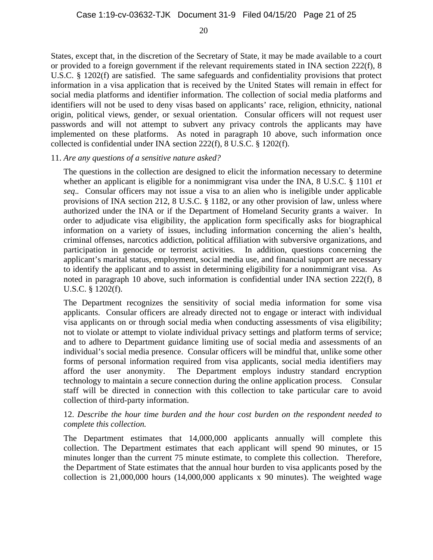States, except that, in the discretion of the Secretary of State, it may be made available to a court or provided to a foreign government if the relevant requirements stated in INA section 222(f), 8 U.S.C. § 1202(f) are satisfied. The same safeguards and confidentiality provisions that protect information in a visa application that is received by the United States will remain in effect for social media platforms and identifier information. The collection of social media platforms and identifiers will not be used to deny visas based on applicants' race, religion, ethnicity, national origin, political views, gender, or sexual orientation. Consular officers will not request user passwords and will not attempt to subvert any privacy controls the applicants may have implemented on these platforms. As noted in paragraph 10 above, such information once collected is confidential under INA section 222(f), 8 U.S.C. § 1202(f).

#### 11. *Are any questions of a sensitive nature asked?*

The questions in the collection are designed to elicit the information necessary to determine whether an applicant is eligible for a nonimmigrant visa under the INA, 8 U.S.C. § 1101 *et seq*.*.* Consular officers may not issue a visa to an alien who is ineligible under applicable provisions of INA section 212, 8 U.S.C. § 1182, or any other provision of law, unless where authorized under the INA or if the Department of Homeland Security grants a waiver. In order to adjudicate visa eligibility, the application form specifically asks for biographical information on a variety of issues, including information concerning the alien's health, criminal offenses, narcotics addiction, political affiliation with subversive organizations, and participation in genocide or terrorist activities. In addition, questions concerning the applicant's marital status, employment, social media use, and financial support are necessary to identify the applicant and to assist in determining eligibility for a nonimmigrant visa. As noted in paragraph 10 above, such information is confidential under INA section 222(f), 8 U.S.C. § 1202(f).

The Department recognizes the sensitivity of social media information for some visa applicants. Consular officers are already directed not to engage or interact with individual visa applicants on or through social media when conducting assessments of visa eligibility; not to violate or attempt to violate individual privacy settings and platform terms of service; and to adhere to Department guidance limiting use of social media and assessments of an individual's social media presence. Consular officers will be mindful that, unlike some other forms of personal information required from visa applicants, social media identifiers may afford the user anonymity. The Department employs industry standard encryption technology to maintain a secure connection during the online application process. Consular staff will be directed in connection with this collection to take particular care to avoid collection of third-party information.

#### 12. *Describe the hour time burden and the hour cost burden on the respondent needed to complete this collection.*

The Department estimates that 14,000,000 applicants annually will complete this collection. The Department estimates that each applicant will spend 90 minutes, or 15 minutes longer than the current 75 minute estimate, to complete this collection. Therefore, the Department of State estimates that the annual hour burden to visa applicants posed by the collection is 21,000,000 hours (14,000,000 applicants x 90 minutes). The weighted wage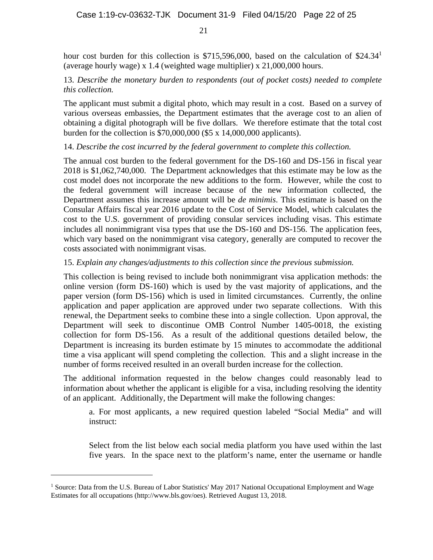hour cost burden for this collection is \$715,596,000, based on the calculation of \$24.34<sup>1</sup> (average hourly wage) x 1.4 (weighted wage multiplier) x 21,000,000 hours.

#### 13. *Describe the monetary burden to respondents (out of pocket costs) needed to complete this collection.*

The applicant must submit a digital photo, which may result in a cost. Based on a survey of various overseas embassies, the Department estimates that the average cost to an alien of obtaining a digital photograph will be five dollars. We therefore estimate that the total cost burden for the collection is \$70,000,000 (\$5 x 14,000,000 applicants).

### 14. *Describe the cost incurred by the federal government to complete this collection.*

The annual cost burden to the federal government for the DS-160 and DS-156 in fiscal year 2018 is \$1,062,740,000. The Department acknowledges that this estimate may be low as the cost model does not incorporate the new additions to the form. However, while the cost to the federal government will increase because of the new information collected, the Department assumes this increase amount will be *de minimis*. This estimate is based on the Consular Affairs fiscal year 2016 update to the Cost of Service Model, which calculates the cost to the U.S. government of providing consular services including visas. This estimate includes all nonimmigrant visa types that use the DS-160 and DS-156. The application fees, which vary based on the nonimmigrant visa category, generally are computed to recover the costs associated with nonimmigrant visas.

### 15. *Explain any changes/adjustments to this collection since the previous submission.*

This collection is being revised to include both nonimmigrant visa application methods: the online version (form DS-160) which is used by the vast majority of applications, and the paper version (form DS-156) which is used in limited circumstances. Currently, the online application and paper application are approved under two separate collections. With this renewal, the Department seeks to combine these into a single collection. Upon approval, the Department will seek to discontinue OMB Control Number 1405-0018, the existing collection for form DS-156. As a result of the additional questions detailed below, the Department is increasing its burden estimate by 15 minutes to accommodate the additional time a visa applicant will spend completing the collection. This and a slight increase in the number of forms received resulted in an overall burden increase for the collection.

The additional information requested in the below changes could reasonably lead to information about whether the applicant is eligible for a visa, including resolving the identity of an applicant. Additionally, the Department will make the following changes:

a. For most applicants, a new required question labeled "Social Media" and will instruct:

Select from the list below each social media platform you have used within the last five years. In the space next to the platform's name, enter the username or handle

1

<sup>&</sup>lt;sup>1</sup> Source: Data from the U.S. Bureau of Labor Statistics' May 2017 National Occupational Employment and Wage Estimates for all occupations (http://www.bls.gov/oes). Retrieved August 13, 2018.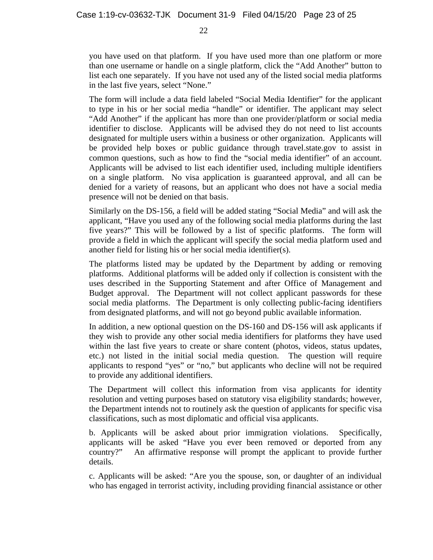you have used on that platform. If you have used more than one platform or more than one username or handle on a single platform, click the "Add Another" button to list each one separately. If you have not used any of the listed social media platforms in the last five years, select "None."

The form will include a data field labeled "Social Media Identifier" for the applicant to type in his or her social media "handle" or identifier. The applicant may select "Add Another" if the applicant has more than one provider/platform or social media identifier to disclose. Applicants will be advised they do not need to list accounts designated for multiple users within a business or other organization. Applicants will be provided help boxes or public guidance through travel.state.gov to assist in common questions, such as how to find the "social media identifier" of an account. Applicants will be advised to list each identifier used, including multiple identifiers on a single platform. No visa application is guaranteed approval, and all can be denied for a variety of reasons, but an applicant who does not have a social media presence will not be denied on that basis.

Similarly on the DS-156, a field will be added stating "Social Media" and will ask the applicant, "Have you used any of the following social media platforms during the last five years?" This will be followed by a list of specific platforms. The form will provide a field in which the applicant will specify the social media platform used and another field for listing his or her social media identifier(s).

The platforms listed may be updated by the Department by adding or removing platforms. Additional platforms will be added only if collection is consistent with the uses described in the Supporting Statement and after Office of Management and Budget approval. The Department will not collect applicant passwords for these social media platforms. The Department is only collecting public-facing identifiers from designated platforms, and will not go beyond public available information.

In addition, a new optional question on the DS-160 and DS-156 will ask applicants if they wish to provide any other social media identifiers for platforms they have used within the last five years to create or share content (photos, videos, status updates, etc.) not listed in the initial social media question. The question will require applicants to respond "yes" or "no," but applicants who decline will not be required to provide any additional identifiers.

The Department will collect this information from visa applicants for identity resolution and vetting purposes based on statutory visa eligibility standards; however, the Department intends not to routinely ask the question of applicants for specific visa classifications, such as most diplomatic and official visa applicants.

b. Applicants will be asked about prior immigration violations. Specifically, applicants will be asked "Have you ever been removed or deported from any country?" An affirmative response will prompt the applicant to provide further details.

c. Applicants will be asked: "Are you the spouse, son, or daughter of an individual who has engaged in terrorist activity, including providing financial assistance or other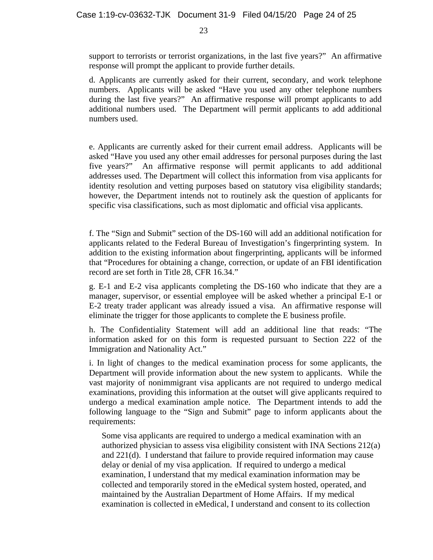support to terrorists or terrorist organizations, in the last five years?" An affirmative response will prompt the applicant to provide further details.

d. Applicants are currently asked for their current, secondary, and work telephone numbers. Applicants will be asked "Have you used any other telephone numbers during the last five years?" An affirmative response will prompt applicants to add additional numbers used. The Department will permit applicants to add additional numbers used.

e. Applicants are currently asked for their current email address. Applicants will be asked "Have you used any other email addresses for personal purposes during the last five years?" An affirmative response will permit applicants to add additional addresses used. The Department will collect this information from visa applicants for identity resolution and vetting purposes based on statutory visa eligibility standards; however, the Department intends not to routinely ask the question of applicants for specific visa classifications, such as most diplomatic and official visa applicants.

f. The "Sign and Submit" section of the DS-160 will add an additional notification for applicants related to the Federal Bureau of Investigation's fingerprinting system. In addition to the existing information about fingerprinting, applicants will be informed that "Procedures for obtaining a change, correction, or update of an FBI identification record are set forth in Title 28, CFR 16.34."

g. E-1 and E-2 visa applicants completing the DS-160 who indicate that they are a manager, supervisor, or essential employee will be asked whether a principal E-1 or E-2 treaty trader applicant was already issued a visa. An affirmative response will eliminate the trigger for those applicants to complete the E business profile.

h. The Confidentiality Statement will add an additional line that reads: "The information asked for on this form is requested pursuant to Section 222 of the Immigration and Nationality Act."

i. In light of changes to the medical examination process for some applicants, the Department will provide information about the new system to applicants. While the vast majority of nonimmigrant visa applicants are not required to undergo medical examinations, providing this information at the outset will give applicants required to undergo a medical examination ample notice. The Department intends to add the following language to the "Sign and Submit" page to inform applicants about the requirements:

Some visa applicants are required to undergo a medical examination with an authorized physician to assess visa eligibility consistent with INA Sections 212(a) and 221(d). I understand that failure to provide required information may cause delay or denial of my visa application. If required to undergo a medical examination, I understand that my medical examination information may be collected and temporarily stored in the eMedical system hosted, operated, and maintained by the Australian Department of Home Affairs. If my medical examination is collected in eMedical, I understand and consent to its collection